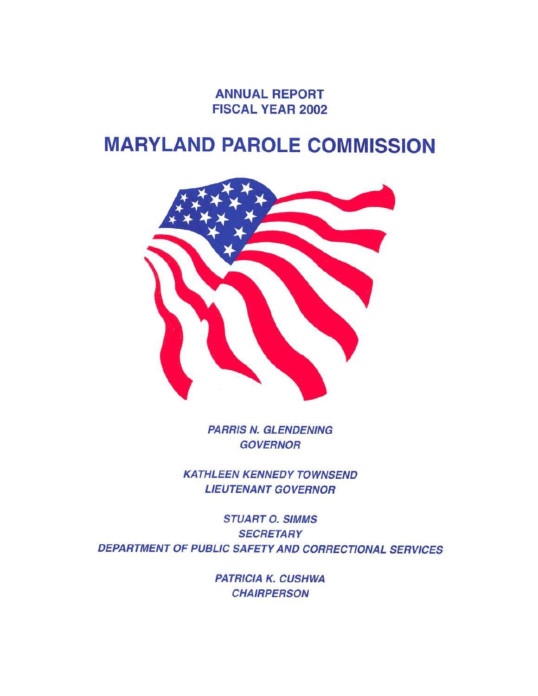**ANNUAL REPORT FISCAL YEAR 2002** 

# **MARYLAND PAROLE COMMISSION**



**PARRIS N. GLENDENING GOVERNOR** 

**KATHLEEN KENNEDY TOWNSEND LIEUTENANT GOVERNOR** 

**STUART O. SIMMS SECRETARY** DEPARTMENT OF PUBLIC SAFETY AND CORRECTIONAL SERVICES

> **PATRICIA K. CUSHWA CHAIRPERSON**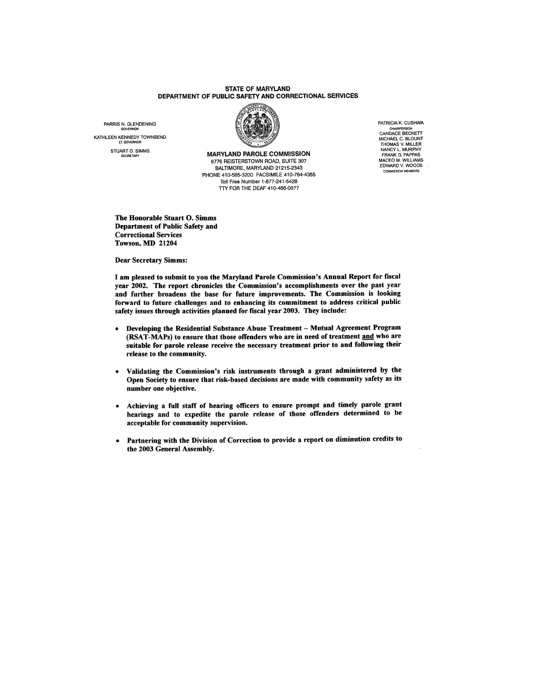#### **STATE OF MARYLAND** DEPARTMENT OF PUBLIC SAFETY AND CORRECTIONAL SERVICES

PARRIS N. GLENDENING KATHLEEN KENNEDY TOWNSEND STUART O. SIMMS



**MARYLAND PAROLE COMMISSION** 6776 REISTERSTOWN ROAD, SUITE 307 BALTIMORE, MARYLAND 21215-2343 PHONE 410-585-3200 FACSIMILE 410-764-4355 Toll Free Number 1-877-241-5428 TTY FOR THE DEAF 410-486-0677

PATRICIA K. CUSHWA CHAIRPERSON<br>CANDACE BECKETT MICHAEL C. BLOUNT<br>THOMAS V. MILLER<br>NANCY L. MURPHY<br>FRANK G. PAPPAS MACEO M. WILLIAMS<br>EDWARD V. WOODS **COMMISSION MEMBERS** 

The Honorable Stuart O. Simms **Department of Public Safety and Correctional Services** Towson, MD 21204

**Dear Secretary Simms:** 

I am pleased to submit to you the Maryland Parole Commission's Annual Report for fiscal year 2002. The report chronicles the Commission's accomplishments over the past year and further broadens the base for future improvements. The Commission is looking forward to future challenges and to enhancing its commitment to address critical public safety issues through activities planned for fiscal year 2003. They include:

- Developing the Residential Substance Abuse Treatment Mutual Agreement Program  $\bullet$ (RSAT-MAPs) to ensure that those offenders who are in need of treatment and who are suitable for parole release receive the necessary treatment prior to and following their release to the community.
- Validating the Commission's risk instruments through a grant administered by the Open Society to ensure that risk-based decisions are made with community safety as its number one objective.
- Achieving a full staff of hearing officers to ensure prompt and timely parole grant hearings and to expedite the parole release of those offenders determined to be acceptable for community supervision.
- Partnering with the Division of Correction to provide a report on diminution credits to the 2003 General Assembly.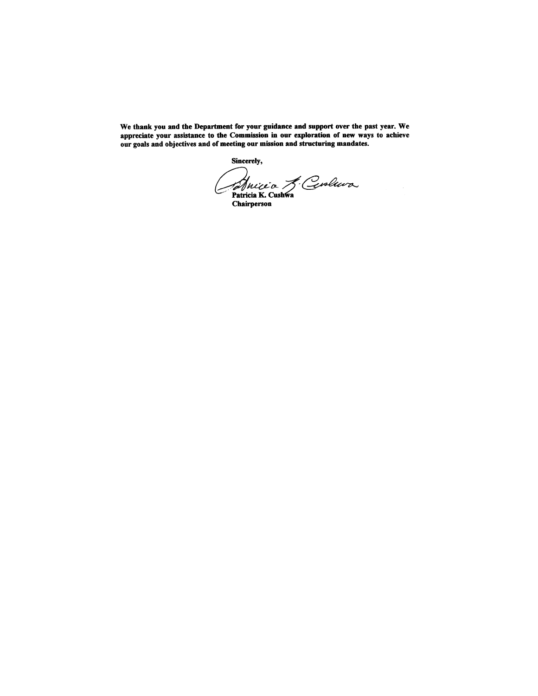We thank you and the Department for your guidance and support over the past year. We appreciate your assistance to the Commission in our exploration of new ways to achieve our goals and objectives and of meeting our mission and structuring mandates.

Sincerely,

Ancie de Gevoluire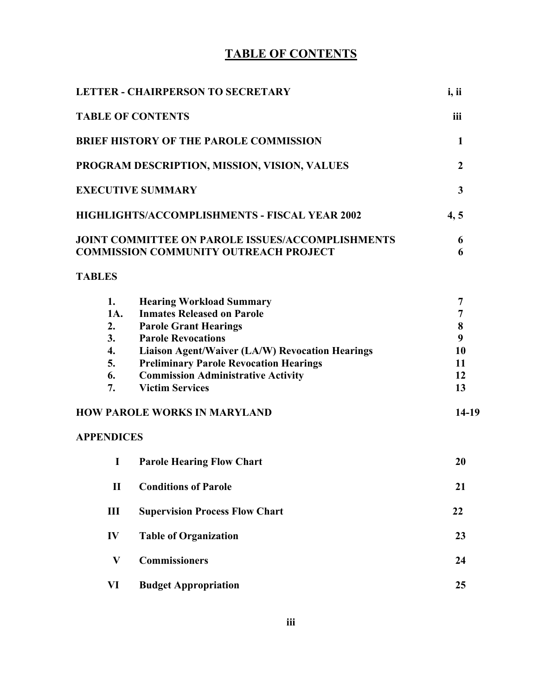# **TABLE OF CONTENTS**

|                   | <b>LETTER - CHAIRPERSON TO SECRETARY</b>                                                                                                      | i, ii          |
|-------------------|-----------------------------------------------------------------------------------------------------------------------------------------------|----------------|
|                   | <b>TABLE OF CONTENTS</b>                                                                                                                      | iii            |
|                   | <b>BRIEF HISTORY OF THE PAROLE COMMISSION</b>                                                                                                 | $\mathbf{1}$   |
|                   | PROGRAM DESCRIPTION, MISSION, VISION, VALUES                                                                                                  | $\overline{2}$ |
|                   | <b>EXECUTIVE SUMMARY</b>                                                                                                                      | $\mathbf{3}$   |
|                   | HIGHLIGHTS/ACCOMPLISHMENTS - FISCAL YEAR 2002                                                                                                 | 4, 5           |
|                   | <b>JOINT COMMITTEE ON PAROLE ISSUES/ACCOMPLISHMENTS</b><br><b>COMMISSION COMMUNITY OUTREACH PROJECT</b>                                       | 6<br>6         |
| <b>TABLES</b>     |                                                                                                                                               |                |
| 1.<br>1A.         | <b>Hearing Workload Summary</b><br><b>Inmates Released on Parole</b>                                                                          | 7<br>7         |
| 2.<br>3.          | <b>Parole Grant Hearings</b><br><b>Parole Revocations</b>                                                                                     | 8<br>9         |
| 4.<br>5.<br>6.    | Liaison Agent/Waiver (LA/W) Revocation Hearings<br><b>Preliminary Parole Revocation Hearings</b><br><b>Commission Administrative Activity</b> | 10<br>11<br>12 |
| 7.                | <b>Victim Services</b><br><b>HOW PAROLE WORKS IN MARYLAND</b>                                                                                 | 13<br>$14-19$  |
| <b>APPENDICES</b> |                                                                                                                                               |                |
| I                 | <b>Parole Hearing Flow Chart</b>                                                                                                              | 20             |
| $\mathbf{I}$      | <b>Conditions of Parole</b>                                                                                                                   | 21             |
| $\mathbf{III}$    | <b>Supervision Process Flow Chart</b>                                                                                                         | 22             |
| IV                | <b>Table of Organization</b>                                                                                                                  | 23             |
| $\mathbf{V}$      | <b>Commissioners</b>                                                                                                                          | 24             |
| VI                | <b>Budget Appropriation</b>                                                                                                                   | 25             |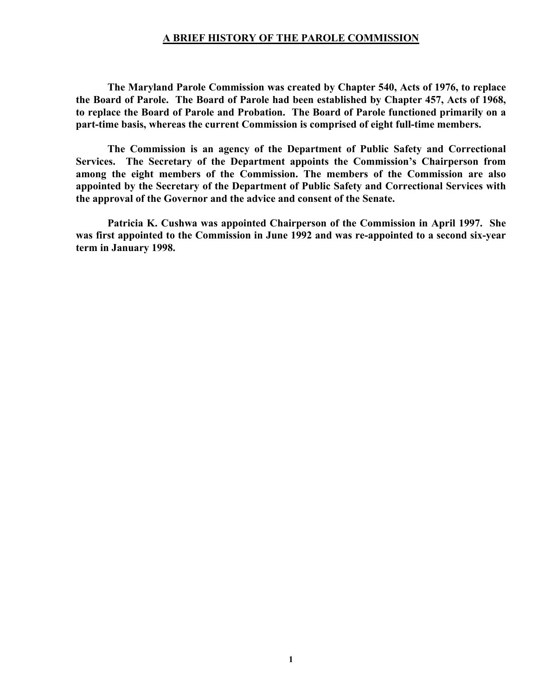#### **A BRIEF HISTORY OF THE PAROLE COMMISSION**

**The Maryland Parole Commission was created by Chapter 540, Acts of 1976, to replace the Board of Parole. The Board of Parole had been established by Chapter 457, Acts of 1968, to replace the Board of Parole and Probation. The Board of Parole functioned primarily on a part-time basis, whereas the current Commission is comprised of eight full-time members.** 

**The Commission is an agency of the Department of Public Safety and Correctional Services. The Secretary of the Department appoints the Commission's Chairperson from among the eight members of the Commission. The members of the Commission are also appointed by the Secretary of the Department of Public Safety and Correctional Services with the approval of the Governor and the advice and consent of the Senate.** 

**Patricia K. Cushwa was appointed Chairperson of the Commission in April 1997. She was first appointed to the Commission in June 1992 and was re-appointed to a second six-year term in January 1998.**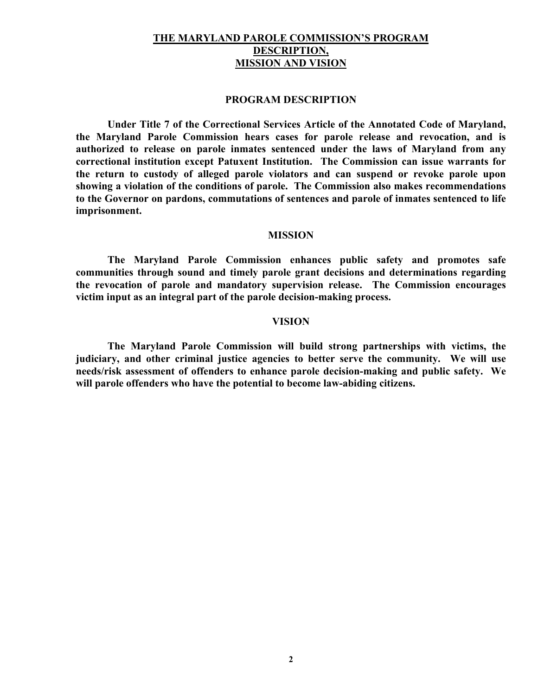#### **THE MARYLAND PAROLE COMMISSION'S PROGRAM DESCRIPTION, MISSION AND VISION**

#### **PROGRAM DESCRIPTION**

**Under Title 7 of the Correctional Services Article of the Annotated Code of Maryland, the Maryland Parole Commission hears cases for parole release and revocation, and is authorized to release on parole inmates sentenced under the laws of Maryland from any correctional institution except Patuxent Institution. The Commission can issue warrants for the return to custody of alleged parole violators and can suspend or revoke parole upon showing a violation of the conditions of parole. The Commission also makes recommendations to the Governor on pardons, commutations of sentences and parole of inmates sentenced to life imprisonment.** 

#### **MISSION**

**The Maryland Parole Commission enhances public safety and promotes safe communities through sound and timely parole grant decisions and determinations regarding the revocation of parole and mandatory supervision release. The Commission encourages victim input as an integral part of the parole decision-making process.** 

#### **VISION**

**The Maryland Parole Commission will build strong partnerships with victims, the judiciary, and other criminal justice agencies to better serve the community. We will use needs/risk assessment of offenders to enhance parole decision-making and public safety. We will parole offenders who have the potential to become law-abiding citizens.**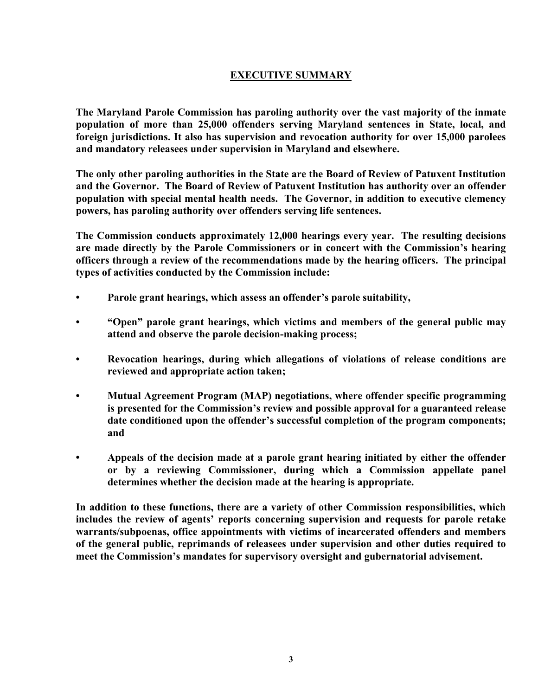# **EXECUTIVE SUMMARY**

**The Maryland Parole Commission has paroling authority over the vast majority of the inmate population of more than 25,000 offenders serving Maryland sentences in State, local, and foreign jurisdictions. It also has supervision and revocation authority for over 15,000 parolees and mandatory releasees under supervision in Maryland and elsewhere.** 

**The only other paroling authorities in the State are the Board of Review of Patuxent Institution and the Governor. The Board of Review of Patuxent Institution has authority over an offender population with special mental health needs. The Governor, in addition to executive clemency powers, has paroling authority over offenders serving life sentences.** 

**The Commission conducts approximately 12,000 hearings every year. The resulting decisions are made directly by the Parole Commissioners or in concert with the Commission's hearing officers through a review of the recommendations made by the hearing officers. The principal types of activities conducted by the Commission include:** 

- **• Parole grant hearings, which assess an offender's parole suitability,**
- **• "Open" parole grant hearings, which victims and members of the general public may attend and observe the parole decision-making process;**
- **• Revocation hearings, during which allegations of violations of release conditions are reviewed and appropriate action taken;**
- **• Mutual Agreement Program (MAP) negotiations, where offender specific programming is presented for the Commission's review and possible approval for a guaranteed release date conditioned upon the offender's successful completion of the program components; and**
- **• Appeals of the decision made at a parole grant hearing initiated by either the offender or by a reviewing Commissioner, during which a Commission appellate panel determines whether the decision made at the hearing is appropriate.**

**In addition to these functions, there are a variety of other Commission responsibilities, which includes the review of agents' reports concerning supervision and requests for parole retake warrants/subpoenas, office appointments with victims of incarcerated offenders and members of the general public, reprimands of releasees under supervision and other duties required to meet the Commission's mandates for supervisory oversight and gubernatorial advisement.**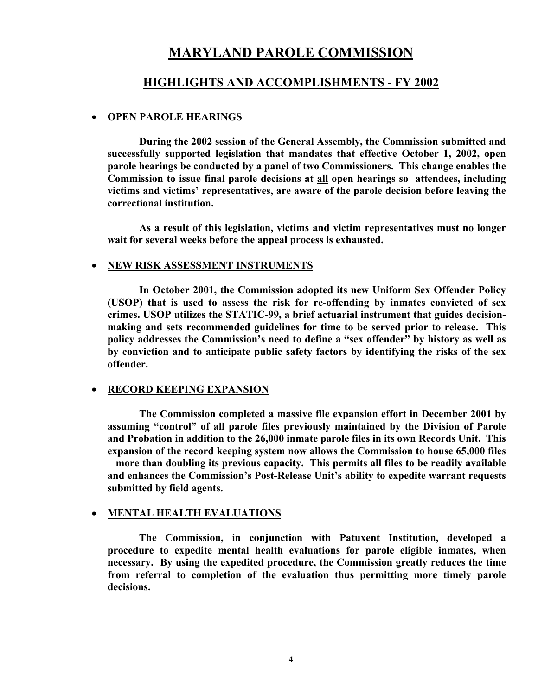# **MARYLAND PAROLE COMMISSION**

# **HIGHLIGHTS AND ACCOMPLISHMENTS - FY 2002**

#### • **OPEN PAROLE HEARINGS**

**During the 2002 session of the General Assembly, the Commission submitted and successfully supported legislation that mandates that effective October 1, 2002, open parole hearings be conducted by a panel of two Commissioners. This change enables the Commission to issue final parole decisions at all open hearings so attendees, including victims and victims' representatives, are aware of the parole decision before leaving the correctional institution.** 

**As a result of this legislation, victims and victim representatives must no longer wait for several weeks before the appeal process is exhausted.** 

#### • **NEW RISK ASSESSMENT INSTRUMENTS**

**In October 2001, the Commission adopted its new Uniform Sex Offender Policy (USOP) that is used to assess the risk for re-offending by inmates convicted of sex crimes. USOP utilizes the STATIC-99, a brief actuarial instrument that guides decisionmaking and sets recommended guidelines for time to be served prior to release. This policy addresses the Commission's need to define a "sex offender" by history as well as by conviction and to anticipate public safety factors by identifying the risks of the sex offender.** 

#### • **RECORD KEEPING EXPANSION**

**The Commission completed a massive file expansion effort in December 2001 by assuming "control" of all parole files previously maintained by the Division of Parole and Probation in addition to the 26,000 inmate parole files in its own Records Unit. This expansion of the record keeping system now allows the Commission to house 65,000 files – more than doubling its previous capacity. This permits all files to be readily available and enhances the Commission's Post-Release Unit's ability to expedite warrant requests submitted by field agents.** 

#### • **MENTAL HEALTH EVALUATIONS**

**The Commission, in conjunction with Patuxent Institution, developed a procedure to expedite mental health evaluations for parole eligible inmates, when necessary. By using the expedited procedure, the Commission greatly reduces the time from referral to completion of the evaluation thus permitting more timely parole decisions.**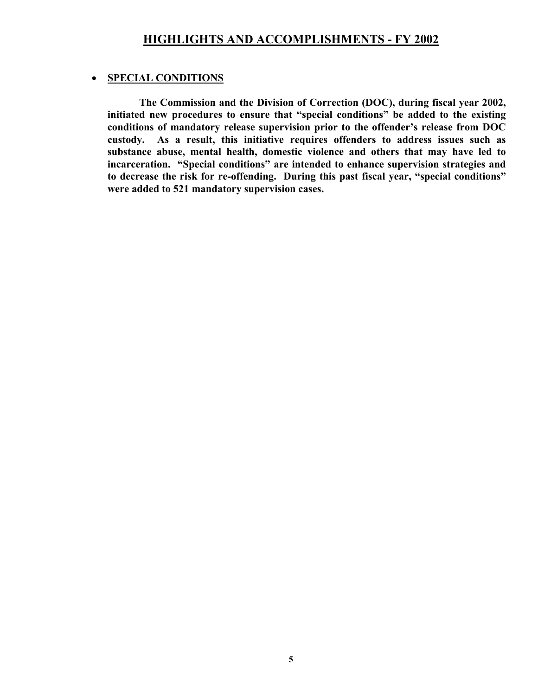# • **SPECIAL CONDITIONS**

**The Commission and the Division of Correction (DOC), during fiscal year 2002, initiated new procedures to ensure that "special conditions" be added to the existing conditions of mandatory release supervision prior to the offender's release from DOC custody. As a result, this initiative requires offenders to address issues such as substance abuse, mental health, domestic violence and others that may have led to incarceration. "Special conditions" are intended to enhance supervision strategies and to decrease the risk for re-offending. During this past fiscal year, "special conditions" were added to 521 mandatory supervision cases.**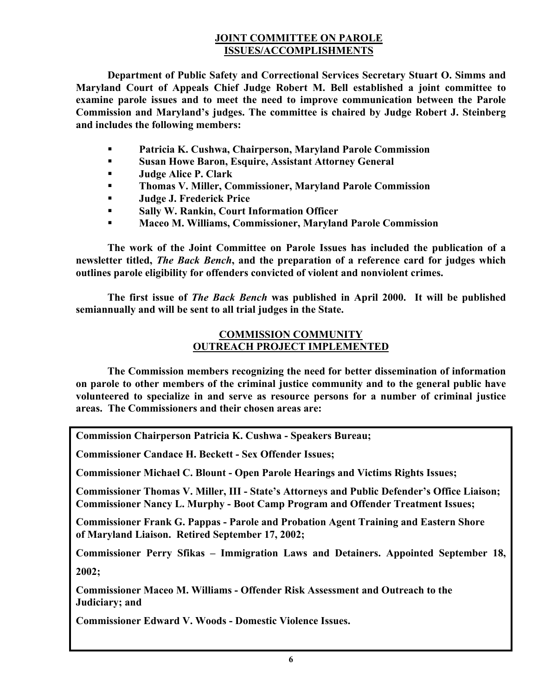# **JOINT COMMITTEE ON PAROLE ISSUES/ACCOMPLISHMENTS**

**Department of Public Safety and Correctional Services Secretary Stuart O. Simms and Maryland Court of Appeals Chief Judge Robert M. Bell established a joint committee to examine parole issues and to meet the need to improve communication between the Parole Commission and Maryland's judges. The committee is chaired by Judge Robert J. Steinberg and includes the following members:** 

- **Patricia K. Cushwa, Chairperson, Maryland Parole Commission**
- **Susan Howe Baron, Esquire, Assistant Attorney General**
- **Judge Alice P. Clark**
- **Thomas V. Miller, Commissioner, Maryland Parole Commission**
- **Judge J. Frederick Price**
- **Sally W. Rankin, Court Information Officer**
- **Maceo M. Williams, Commissioner, Maryland Parole Commission**

**The work of the Joint Committee on Parole Issues has included the publication of a newsletter titled,** *The Back Bench***, and the preparation of a reference card for judges which outlines parole eligibility for offenders convicted of violent and nonviolent crimes.** 

**The first issue of** *The Back Bench* **was published in April 2000. It will be published semiannually and will be sent to all trial judges in the State.** 

#### **COMMISSION COMMUNITY OUTREACH PROJECT IMPLEMENTED**

**The Commission members recognizing the need for better dissemination of information on parole to other members of the criminal justice community and to the general public have volunteered to specialize in and serve as resource persons for a number of criminal justice areas. The Commissioners and their chosen areas are:** 

**Commission Chairperson Patricia K. Cushwa - Speakers Bureau;** 

**Commissioner Candace H. Beckett - Sex Offender Issues;** 

**Commissioner Michael C. Blount - Open Parole Hearings and Victims Rights Issues;**

**Commissioner Thomas V. Miller, III - State's Attorneys and Public Defender's Office Liaison; Commissioner Nancy L. Murphy - Boot Camp Program and Offender Treatment Issues;** 

**Commissioner Frank G. Pappas - Parole and Probation Agent Training and Eastern Shore of Maryland Liaison. Retired September 17, 2002;** 

**Commissioner Perry Sfikas – Immigration Laws and Detainers. Appointed September 18, 2002;** 

**Commissioner Maceo M. Williams - Offender Risk Assessment and Outreach to the Judiciary; and** 

**Commissioner Edward V. Woods - Domestic Violence Issues.**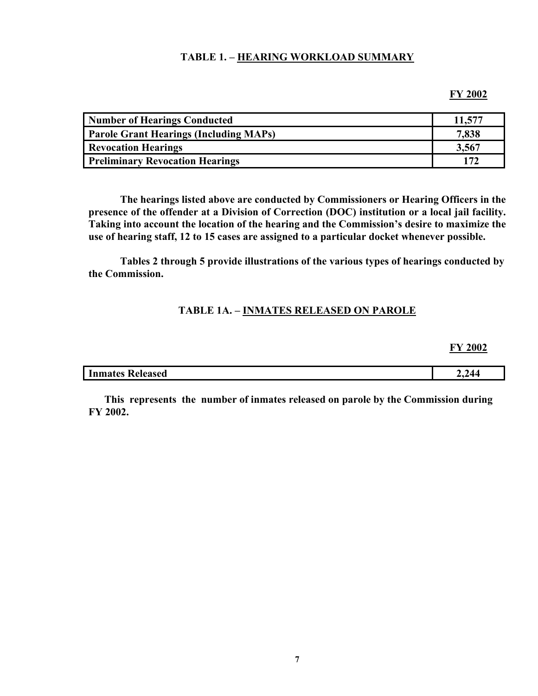#### **TABLE 1. – HEARING WORKLOAD SUMMARY**

#### **FY 2002**

| Number of Hearings Conducted                  | 11,577 |
|-----------------------------------------------|--------|
| <b>Parole Grant Hearings (Including MAPs)</b> | 7,838  |
| <b>Revocation Hearings</b>                    | 3,567  |
| <b>Preliminary Revocation Hearings</b>        | 172    |

**The hearings listed above are conducted by Commissioners or Hearing Officers in the presence of the offender at a Division of Correction (DOC) institution or a local jail facility. Taking into account the location of the hearing and the Commission's desire to maximize the use of hearing staff, 12 to 15 cases are assigned to a particular docket whenever possible.** 

**Tables 2 through 5 provide illustrations of the various types of hearings conducted by the Commission.** 

#### **TABLE 1A. – INMATES RELEASED ON PAROLE**

**FY 2002**

| $\overline{\phantom{0}}$<br><b>Inmates Released</b> | ,,, |
|-----------------------------------------------------|-----|
|                                                     |     |

**This represents the number of inmates released on parole by the Commission during FY 2002.**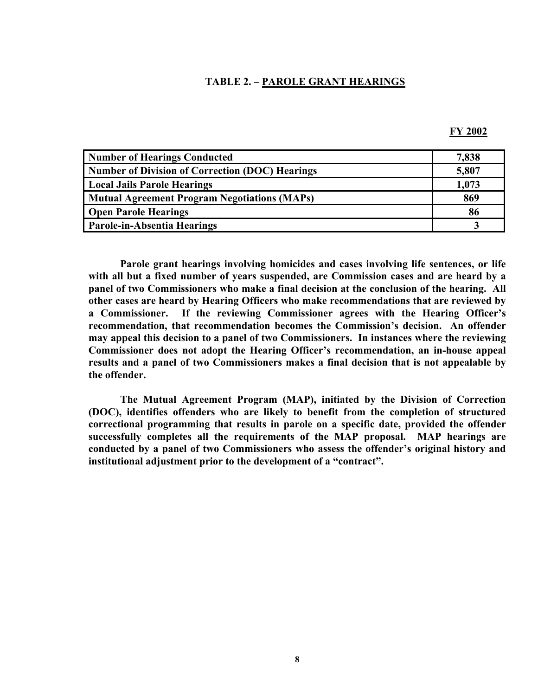#### **TABLE 2. – PAROLE GRANT HEARINGS**

| <b>Number of Hearings Conducted</b>                    | 7,838 |
|--------------------------------------------------------|-------|
| <b>Number of Division of Correction (DOC) Hearings</b> | 5,807 |
| <b>Local Jails Parole Hearings</b>                     | 1,073 |
| <b>Mutual Agreement Program Negotiations (MAPs)</b>    | 869   |
| <b>Open Parole Hearings</b>                            | 86    |
| Parole-in-Absentia Hearings                            |       |

**Parole grant hearings involving homicides and cases involving life sentences, or life with all but a fixed number of years suspended, are Commission cases and are heard by a panel of two Commissioners who make a final decision at the conclusion of the hearing. All other cases are heard by Hearing Officers who make recommendations that are reviewed by a Commissioner. If the reviewing Commissioner agrees with the Hearing Officer's recommendation, that recommendation becomes the Commission's decision. An offender may appeal this decision to a panel of two Commissioners. In instances where the reviewing Commissioner does not adopt the Hearing Officer's recommendation, an in-house appeal results and a panel of two Commissioners makes a final decision that is not appealable by the offender.** 

**The Mutual Agreement Program (MAP), initiated by the Division of Correction (DOC), identifies offenders who are likely to benefit from the completion of structured correctional programming that results in parole on a specific date, provided the offender successfully completes all the requirements of the MAP proposal. MAP hearings are conducted by a panel of two Commissioners who assess the offender's original history and institutional adjustment prior to the development of a "contract".**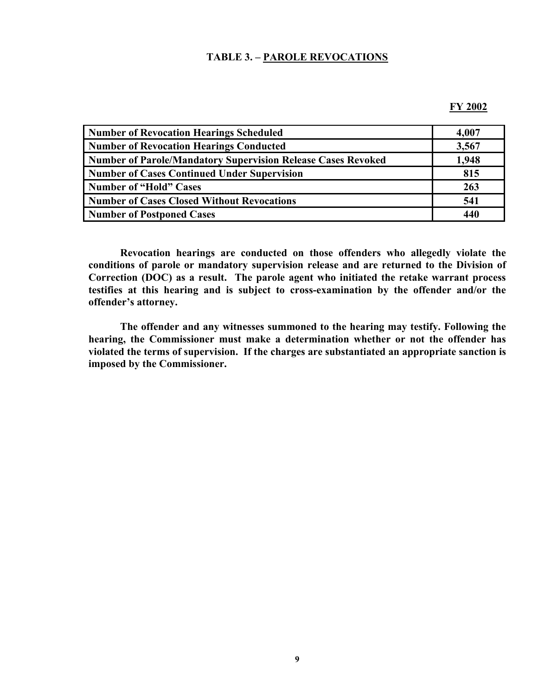#### **TABLE 3. – PAROLE REVOCATIONS**

#### **FY 2002**

| <b>Number of Revocation Hearings Scheduled</b>                      | 4,007 |
|---------------------------------------------------------------------|-------|
| <b>Number of Revocation Hearings Conducted</b>                      | 3,567 |
| <b>Number of Parole/Mandatory Supervision Release Cases Revoked</b> | 1,948 |
| <b>Number of Cases Continued Under Supervision</b>                  | 815   |
| <b>Number of "Hold" Cases</b>                                       | 263   |
| <b>Number of Cases Closed Without Revocations</b>                   | 541   |
| Number of Postponed Cases                                           | 440   |

**Revocation hearings are conducted on those offenders who allegedly violate the conditions of parole or mandatory supervision release and are returned to the Division of Correction (DOC) as a result. The parole agent who initiated the retake warrant process testifies at this hearing and is subject to cross-examination by the offender and/or the offender's attorney.** 

**The offender and any witnesses summoned to the hearing may testify. Following the hearing, the Commissioner must make a determination whether or not the offender has violated the terms of supervision. If the charges are substantiated an appropriate sanction is imposed by the Commissioner.**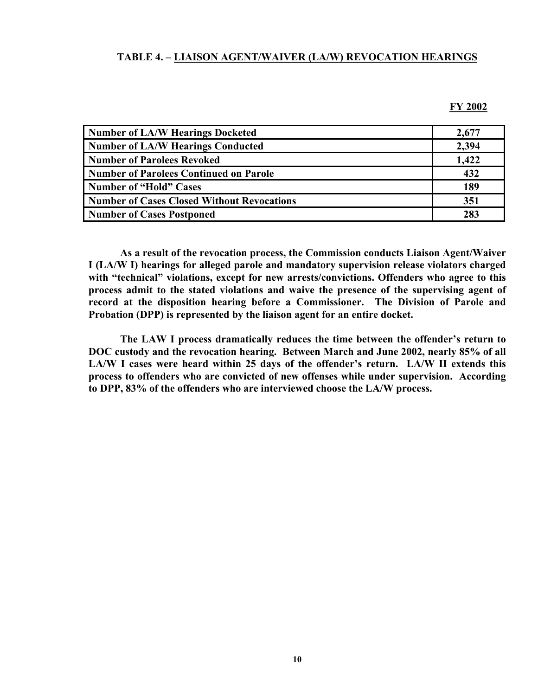#### **TABLE 4. – LIAISON AGENT/WAIVER (LA/W) REVOCATION HEARINGS**

**FY 2002**

| <b>Number of LA/W Hearings Docketed</b>           | 2,677 |
|---------------------------------------------------|-------|
| <b>Number of LA/W Hearings Conducted</b>          | 2,394 |
| <b>Number of Parolees Revoked</b>                 | 1,422 |
| <b>Number of Parolees Continued on Parole</b>     | 432   |
| <b>Number of "Hold" Cases</b>                     | 189   |
| <b>Number of Cases Closed Without Revocations</b> | 351   |
| <b>Number of Cases Postponed</b>                  | 283   |

**As a result of the revocation process, the Commission conducts Liaison Agent/Waiver I (LA/W I) hearings for alleged parole and mandatory supervision release violators charged with "technical" violations, except for new arrests/convictions. Offenders who agree to this process admit to the stated violations and waive the presence of the supervising agent of record at the disposition hearing before a Commissioner. The Division of Parole and Probation (DPP) is represented by the liaison agent for an entire docket.** 

**The LAW I process dramatically reduces the time between the offender's return to DOC custody and the revocation hearing. Between March and June 2002, nearly 85% of all LA/W I cases were heard within 25 days of the offender's return. LA/W II extends this process to offenders who are convicted of new offenses while under supervision. According to DPP, 83% of the offenders who are interviewed choose the LA/W process.**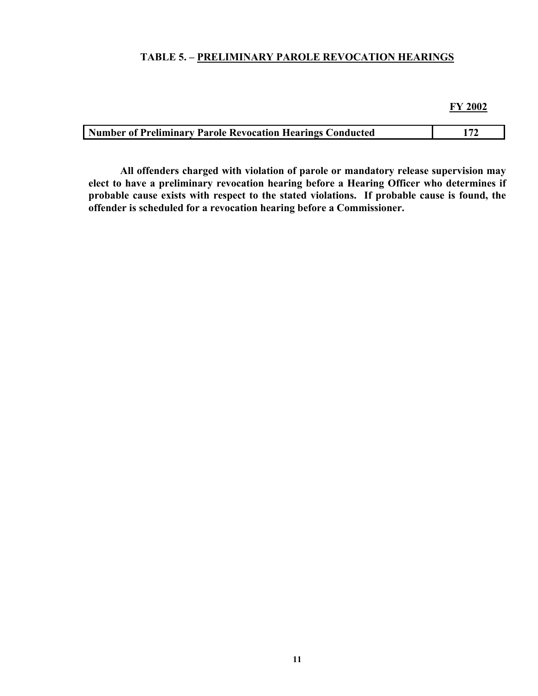# **TABLE 5. – PRELIMINARY PAROLE REVOCATION HEARINGS**

**FY 2002**

| <b>Number of Preliminary Parole Revocation Hearings Conducted</b> |  |
|-------------------------------------------------------------------|--|

**All offenders charged with violation of parole or mandatory release supervision may elect to have a preliminary revocation hearing before a Hearing Officer who determines if**  probable cause exists with respect to the stated violations. If probable cause is found, the **offender is scheduled for a revocation hearing before a Commissioner.**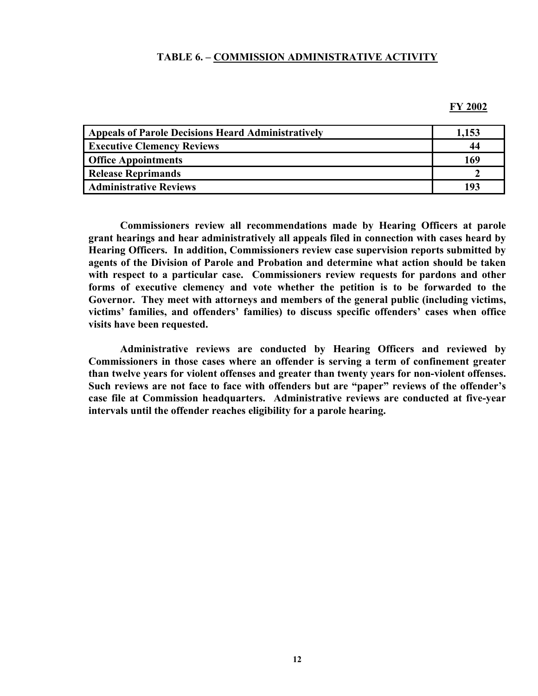#### **TABLE 6. – COMMISSION ADMINISTRATIVE ACTIVITY**

#### **FY 2002**

| <b>Appeals of Parole Decisions Heard Administratively</b> | 1.153 |
|-----------------------------------------------------------|-------|
| <b>Executive Clemency Reviews</b>                         | 44    |
| <b>Office Appointments</b>                                | 169   |
| <b>Release Reprimands</b>                                 |       |
| <b>Administrative Reviews</b>                             |       |

**Commissioners review all recommendations made by Hearing Officers at parole grant hearings and hear administratively all appeals filed in connection with cases heard by Hearing Officers. In addition, Commissioners review case supervision reports submitted by agents of the Division of Parole and Probation and determine what action should be taken with respect to a particular case. Commissioners review requests for pardons and other forms of executive clemency and vote whether the petition is to be forwarded to the Governor. They meet with attorneys and members of the general public (including victims, victims' families, and offenders' families) to discuss specific offenders' cases when office visits have been requested.** 

**Administrative reviews are conducted by Hearing Officers and reviewed by Commissioners in those cases where an offender is serving a term of confinement greater than twelve years for violent offenses and greater than twenty years for non-violent offenses. Such reviews are not face to face with offenders but are "paper" reviews of the offender's case file at Commission headquarters. Administrative reviews are conducted at five-year intervals until the offender reaches eligibility for a parole hearing.**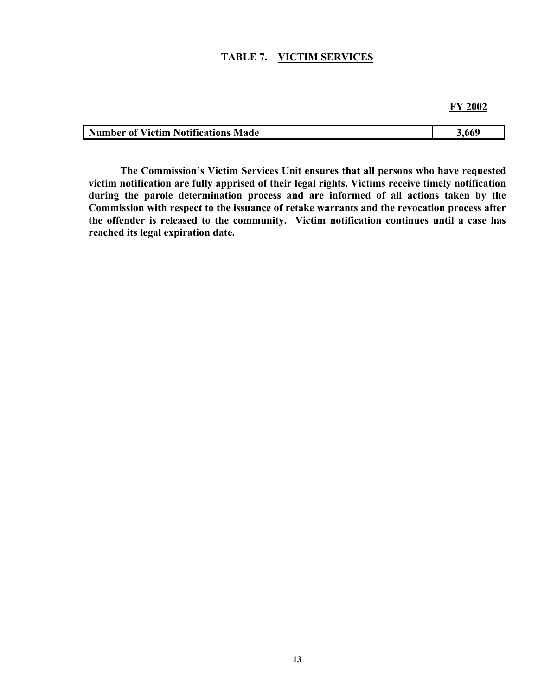#### **TABLE 7. – VICTIM SERVICES**

| <b>Number of Victim Notifications Made</b> | 5.660 |
|--------------------------------------------|-------|

**The Commission's Victim Services Unit ensures that all persons who have requested victim notification are fully apprised of their legal rights. Victims receive timely notification during the parole determination process and are informed of all actions taken by the Commission with respect to the issuance of retake warrants and the revocation process after the offender is released to the community. Victim notification continues until a case has reached its legal expiration date.**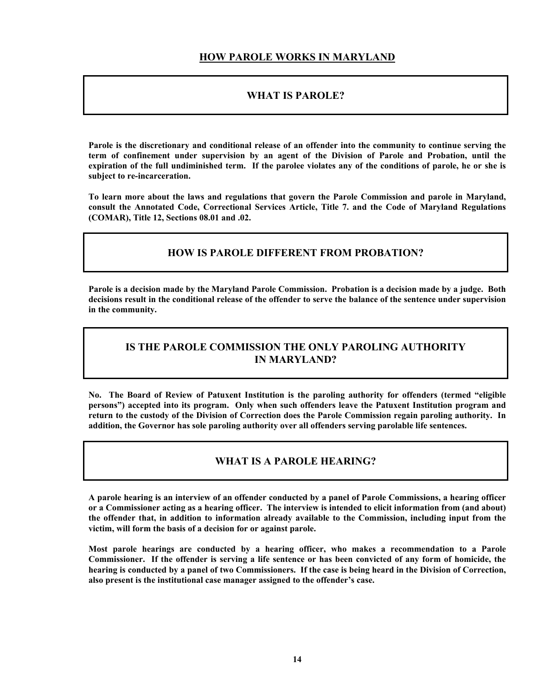### **HOW PAROLE WORKS IN MARYLAND**

#### **WHAT IS PAROLE?**

**Parole is the discretionary and conditional release of an offender into the community to continue serving the term of confinement under supervision by an agent of the Division of Parole and Probation, until the expiration of the full undiminished term. If the parolee violates any of the conditions of parole, he or she is subject to re-incarceration.** 

**To learn more about the laws and regulations that govern the Parole Commission and parole in Maryland, consult the Annotated Code, Correctional Services Article, Title 7. and the Code of Maryland Regulations (COMAR), Title 12, Sections 08.01 and .02.** 

#### **HOW IS PAROLE DIFFERENT FROM PROBATION?**

**Parole is a decision made by the Maryland Parole Commission. Probation is a decision made by a judge. Both decisions result in the conditional release of the offender to serve the balance of the sentence under supervision in the community.** 

## **IS THE PAROLE COMMISSION THE ONLY PAROLING AUTHORITY IN MARYLAND?**

**No. The Board of Review of Patuxent Institution is the paroling authority for offenders (termed "eligible persons") accepted into its program. Only when such offenders leave the Patuxent Institution program and return to the custody of the Division of Correction does the Parole Commission regain paroling authority. In addition, the Governor has sole paroling authority over all offenders serving parolable life sentences.** 

#### **WHAT IS A PAROLE HEARING?**

**A parole hearing is an interview of an offender conducted by a panel of Parole Commissions, a hearing officer or a Commissioner acting as a hearing officer. The interview is intended to elicit information from (and about) the offender that, in addition to information already available to the Commission, including input from the victim, will form the basis of a decision for or against parole.** 

**Most parole hearings are conducted by a hearing officer, who makes a recommendation to a Parole Commissioner. If the offender is serving a life sentence or has been convicted of any form of homicide, the hearing is conducted by a panel of two Commissioners. If the case is being heard in the Division of Correction, also present is the institutional case manager assigned to the offender's case.**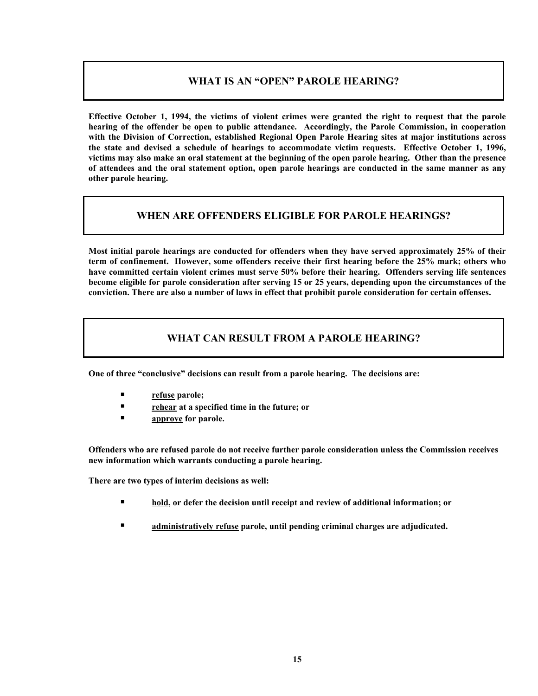## **WHAT IS AN "OPEN" PAROLE HEARING?**

**Effective October 1, 1994, the victims of violent crimes were granted the right to request that the parole hearing of the offender be open to public attendance. Accordingly, the Parole Commission, in cooperation with the Division of Correction, established Regional Open Parole Hearing sites at major institutions across the state and devised a schedule of hearings to accommodate victim requests. Effective October 1, 1996, victims may also make an oral statement at the beginning of the open parole hearing. Other than the presence of attendees and the oral statement option, open parole hearings are conducted in the same manner as any other parole hearing.** 

## **WHEN ARE OFFENDERS ELIGIBLE FOR PAROLE HEARINGS?**

**Most initial parole hearings are conducted for offenders when they have served approximately 25% of their term of confinement. However, some offenders receive their first hearing before the 25% mark; others who have committed certain violent crimes must serve 50% before their hearing. Offenders serving life sentences become eligible for parole consideration after serving 15 or 25 years, depending upon the circumstances of the conviction. There are also a number of laws in effect that prohibit parole consideration for certain offenses.** 

## **WHAT CAN RESULT FROM A PAROLE HEARING?**

**One of three "conclusive" decisions can result from a parole hearing. The decisions are:** 

- **refuse parole;**
- **rehear at a specified time in the future; or**
- **approve for parole.**

**Offenders who are refused parole do not receive further parole consideration unless the Commission receives new information which warrants conducting a parole hearing.**

**There are two types of interim decisions as well:** 

- **hold, or defer the decision until receipt and review of additional information; or**
- **administratively refuse parole, until pending criminal charges are adjudicated.**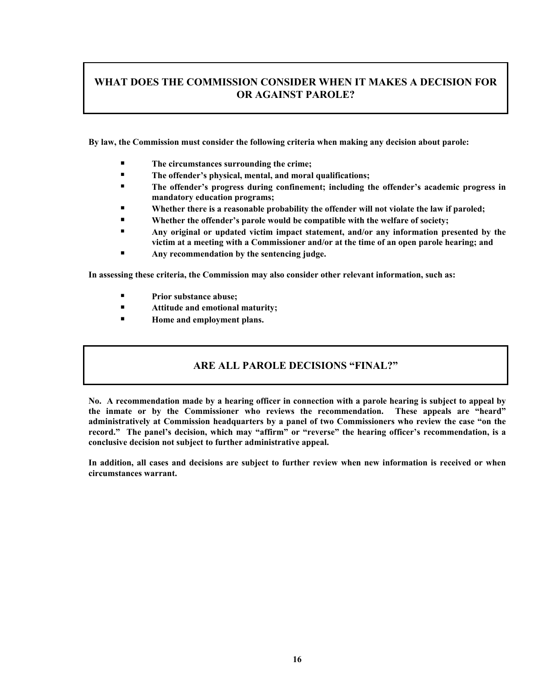# **WHAT DOES THE COMMISSION CONSIDER WHEN IT MAKES A DECISION FOR OR AGAINST PAROLE?**

**By law, the Commission must consider the following criteria when making any decision about parole:** 

- The circumstances surrounding the crime;
- **The offender's physical, mental, and moral qualifications;**
- **The offender's progress during confinement; including the offender's academic progress in mandatory education programs;**
- **Whether there is a reasonable probability the offender will not violate the law if paroled;**
- **Whether the offender's parole would be compatible with the welfare of society;**
- **Any original or updated victim impact statement, and/or any information presented by the victim at a meeting with a Commissioner and/or at the time of an open parole hearing; and**
- **Any recommendation by the sentencing judge.**

**In assessing these criteria, the Commission may also consider other relevant information, such as:** 

- **Prior substance abuse;**
- **Attitude and emotional maturity;**
- **Home and employment plans.**

#### **ARE ALL PAROLE DECISIONS "FINAL?"**

**No. A recommendation made by a hearing officer in connection with a parole hearing is subject to appeal by the inmate or by the Commissioner who reviews the recommendation. These appeals are "heard" administratively at Commission headquarters by a panel of two Commissioners who review the case "on the record." The panel's decision, which may "affirm" or "reverse" the hearing officer's recommendation, is a conclusive decision not subject to further administrative appeal.** 

**In addition, all cases and decisions are subject to further review when new information is received or when circumstances warrant.**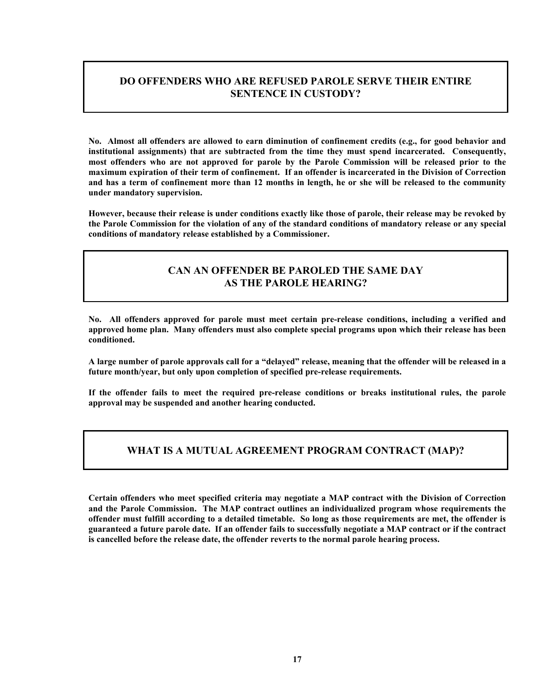# **DO OFFENDERS WHO ARE REFUSED PAROLE SERVE THEIR ENTIRE SENTENCE IN CUSTODY?**

**No. Almost all offenders are allowed to earn diminution of confinement credits (e.g., for good behavior and institutional assignments) that are subtracted from the time they must spend incarcerated. Consequently, most offenders who are not approved for parole by the Parole Commission will be released prior to the maximum expiration of their term of confinement. If an offender is incarcerated in the Division of Correction and has a term of confinement more than 12 months in length, he or she will be released to the community under mandatory supervision.** 

**However, because their release is under conditions exactly like those of parole, their release may be revoked by the Parole Commission for the violation of any of the standard conditions of mandatory release or any special conditions of mandatory release established by a Commissioner.** 

#### **CAN AN OFFENDER BE PAROLED THE SAME DAY AS THE PAROLE HEARING?**

**No. All offenders approved for parole must meet certain pre-release conditions, including a verified and approved home plan. Many offenders must also complete special programs upon which their release has been conditioned.**

**A large number of parole approvals call for a "delayed" release, meaning that the offender will be released in a future month/year, but only upon completion of specified pre-release requirements.** 

**If the offender fails to meet the required pre-release conditions or breaks institutional rules, the parole approval may be suspended and another hearing conducted.** 

#### **WHAT IS A MUTUAL AGREEMENT PROGRAM CONTRACT (MAP)?**

**Certain offenders who meet specified criteria may negotiate a MAP contract with the Division of Correction and the Parole Commission. The MAP contract outlines an individualized program whose requirements the offender must fulfill according to a detailed timetable. So long as those requirements are met, the offender is guaranteed a future parole date. If an offender fails to successfully negotiate a MAP contract or if the contract is cancelled before the release date, the offender reverts to the normal parole hearing process.**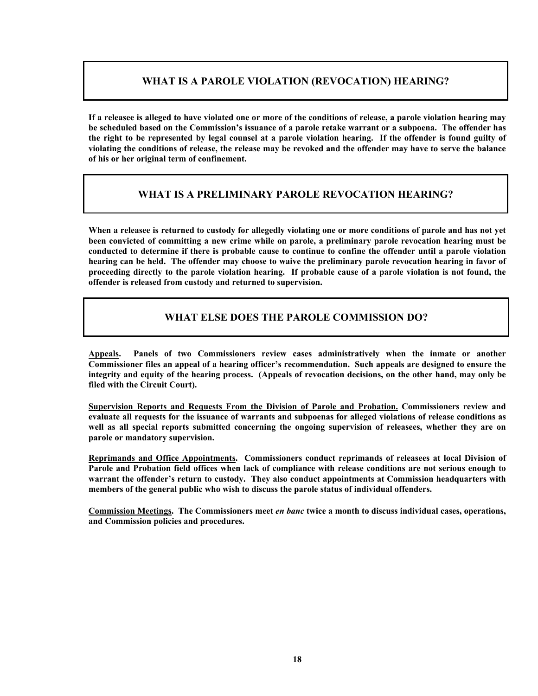## **WHAT IS A PAROLE VIOLATION (REVOCATION) HEARING?**

**If a releasee is alleged to have violated one or more of the conditions of release, a parole violation hearing may be scheduled based on the Commission's issuance of a parole retake warrant or a subpoena. The offender has the right to be represented by legal counsel at a parole violation hearing. If the offender is found guilty of violating the conditions of release, the release may be revoked and the offender may have to serve the balance of his or her original term of confinement.** 

## **WHAT IS A PRELIMINARY PAROLE REVOCATION HEARING?**

**When a releasee is returned to custody for allegedly violating one or more conditions of parole and has not yet been convicted of committing a new crime while on parole, a preliminary parole revocation hearing must be conducted to determine if there is probable cause to continue to confine the offender until a parole violation hearing can be held. The offender may choose to waive the preliminary parole revocation hearing in favor of proceeding directly to the parole violation hearing. If probable cause of a parole violation is not found, the offender is released from custody and returned to supervision.** 

## **WHAT ELSE DOES THE PAROLE COMMISSION DO?**

**Appeals. Panels of two Commissioners review cases administratively when the inmate or another Commissioner files an appeal of a hearing officer's recommendation. Such appeals are designed to ensure the integrity and equity of the hearing process. (Appeals of revocation decisions, on the other hand, may only be filed with the Circuit Court).** 

**Supervision Reports and Requests From the Division of Parole and Probation. Commissioners review and evaluate all requests for the issuance of warrants and subpoenas for alleged violations of release conditions as well as all special reports submitted concerning the ongoing supervision of releasees, whether they are on parole or mandatory supervision.** 

**Reprimands and Office Appointments. Commissioners conduct reprimands of releasees at local Division of Parole and Probation field offices when lack of compliance with release conditions are not serious enough to warrant the offender's return to custody. They also conduct appointments at Commission headquarters with members of the general public who wish to discuss the parole status of individual offenders.** 

**Commission Meetings. The Commissioners meet** *en banc* **twice a month to discuss individual cases, operations, and Commission policies and procedures.**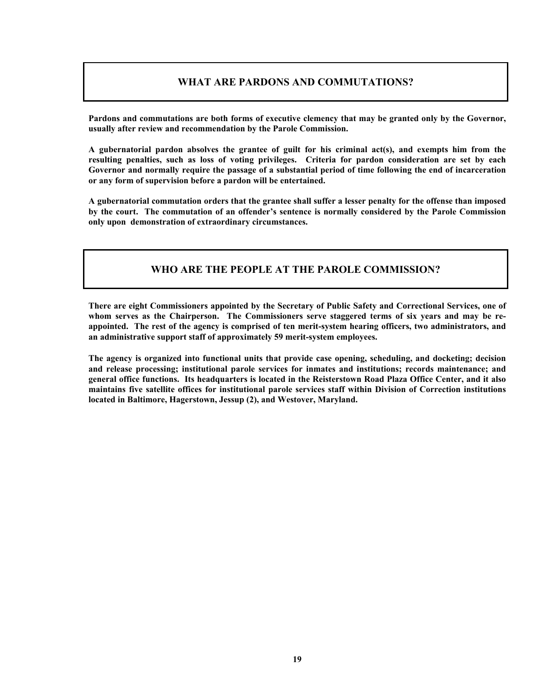# **WHAT ARE PARDONS AND COMMUTATIONS?**

**Pardons and commutations are both forms of executive clemency that may be granted only by the Governor, usually after review and recommendation by the Parole Commission.** 

**A gubernatorial pardon absolves the grantee of guilt for his criminal act(s), and exempts him from the resulting penalties, such as loss of voting privileges. Criteria for pardon consideration are set by each Governor and normally require the passage of a substantial period of time following the end of incarceration or any form of supervision before a pardon will be entertained.** 

**A gubernatorial commutation orders that the grantee shall suffer a lesser penalty for the offense than imposed by the court. The commutation of an offender's sentence is normally considered by the Parole Commission only upon demonstration of extraordinary circumstances.**

## **WHO ARE THE PEOPLE AT THE PAROLE COMMISSION?**

**There are eight Commissioners appointed by the Secretary of Public Safety and Correctional Services, one of whom serves as the Chairperson. The Commissioners serve staggered terms of six years and may be reappointed. The rest of the agency is comprised of ten merit-system hearing officers, two administrators, and an administrative support staff of approximately 59 merit-system employees.** 

**The agency is organized into functional units that provide case opening, scheduling, and docketing; decision and release processing; institutional parole services for inmates and institutions; records maintenance; and general office functions. Its headquarters is located in the Reisterstown Road Plaza Office Center, and it also maintains five satellite offices for institutional parole services staff within Division of Correction institutions located in Baltimore, Hagerstown, Jessup (2), and Westover, Maryland.**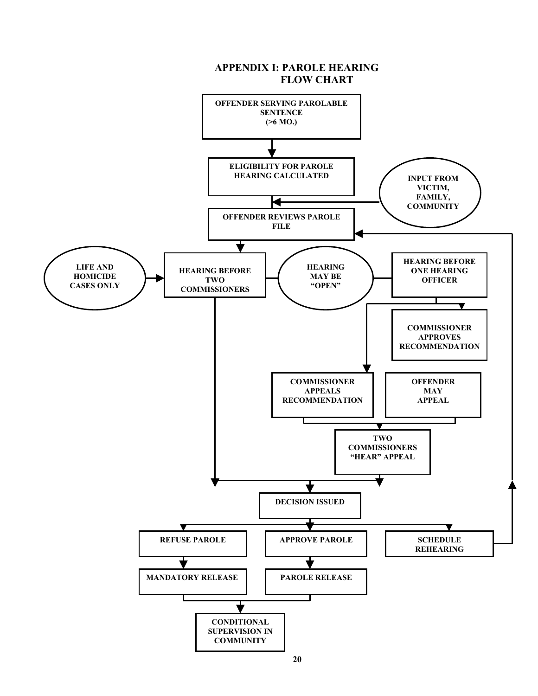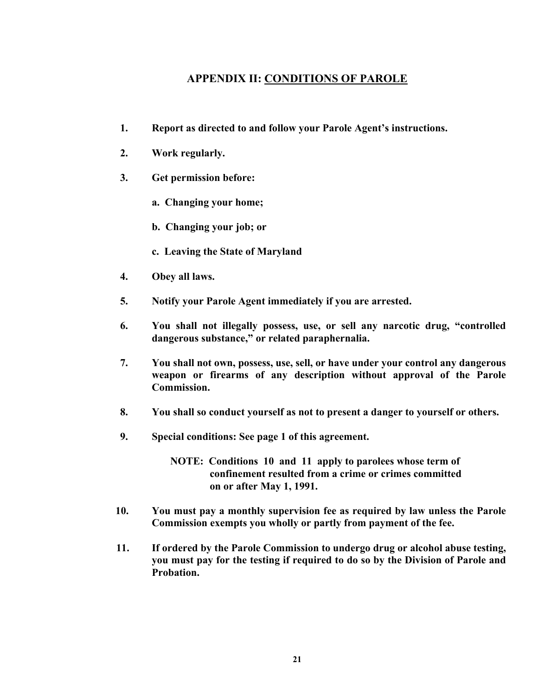# **APPENDIX II: CONDITIONS OF PAROLE**

- **1. Report as directed to and follow your Parole Agent's instructions.**
- **2. Work regularly.**
- **3. Get permission before:** 
	- **a. Changing your home;**
	- **b. Changing your job; or**
	- **c. Leaving the State of Maryland**
- **4. Obey all laws.**
- **5. Notify your Parole Agent immediately if you are arrested.**
- **6. You shall not illegally possess, use, or sell any narcotic drug, "controlled dangerous substance," or related paraphernalia.**
- **7. You shall not own, possess, use, sell, or have under your control any dangerous weapon or firearms of any description without approval of the Parole Commission.**
- **8. You shall so conduct yourself as not to present a danger to yourself or others.**
- **9. Special conditions: See page 1 of this agreement.**

 **NOTE: Conditions 10 and 11 apply to parolees whose term of confinement resulted from a crime or crimes committed on or after May 1, 1991.** 

- **10. You must pay a monthly supervision fee as required by law unless the Parole Commission exempts you wholly or partly from payment of the fee.**
- **11. If ordered by the Parole Commission to undergo drug or alcohol abuse testing, you must pay for the testing if required to do so by the Division of Parole and Probation.**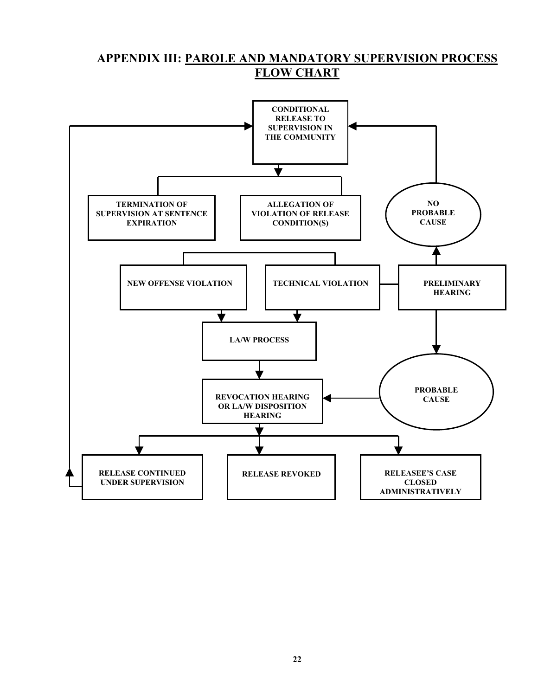# **APPENDIX III: PAROLE AND MANDATORY SUPERVISION PROCESS FLOW CHART**

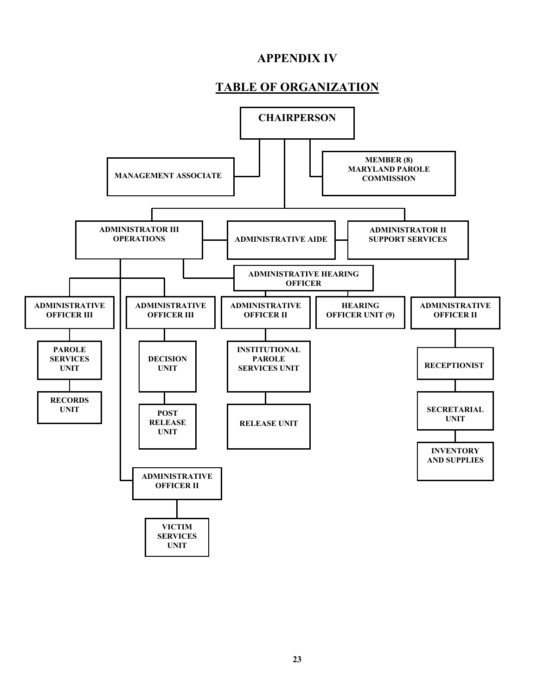# **APPENDIX IV**

# **TABLE OF ORGANIZATION**

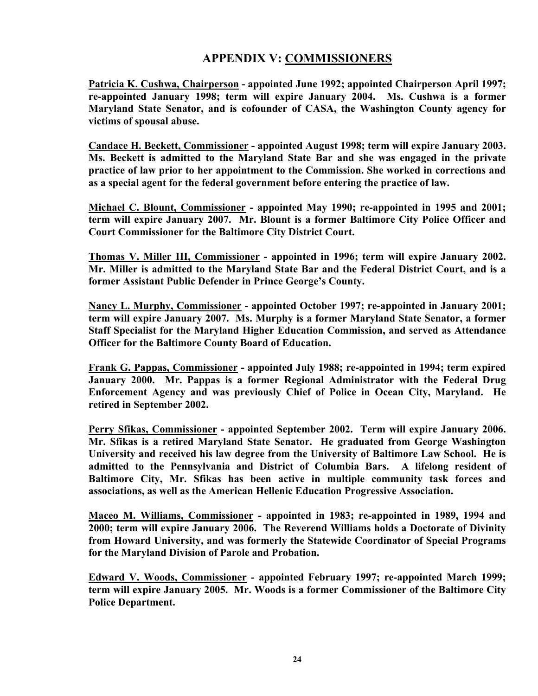# **APPENDIX V: COMMISSIONERS**

**Patricia K. Cushwa, Chairperson - appointed June 1992; appointed Chairperson April 1997; re-appointed January 1998; term will expire January 2004. Ms. Cushwa is a former Maryland State Senator, and is cofounder of CASA, the Washington County agency for victims of spousal abuse.** 

**Candace H. Beckett, Commissioner - appointed August 1998; term will expire January 2003. Ms. Beckett is admitted to the Maryland State Bar and she was engaged in the private practice of law prior to her appointment to the Commission. She worked in corrections and as a special agent for the federal government before entering the practice of law.**

**Michael C. Blount, Commissioner - appointed May 1990; re-appointed in 1995 and 2001; term will expire January 2007. Mr. Blount is a former Baltimore City Police Officer and Court Commissioner for the Baltimore City District Court.** 

**Thomas V. Miller III, Commissioner - appointed in 1996; term will expire January 2002. Mr. Miller is admitted to the Maryland State Bar and the Federal District Court, and is a former Assistant Public Defender in Prince George's County.** 

**Nancy L. Murphy, Commissioner - appointed October 1997; re-appointed in January 2001; term will expire January 2007. Ms. Murphy is a former Maryland State Senator, a former Staff Specialist for the Maryland Higher Education Commission, and served as Attendance Officer for the Baltimore County Board of Education.** 

**Frank G. Pappas, Commissioner - appointed July 1988; re-appointed in 1994; term expired January 2000. Mr. Pappas is a former Regional Administrator with the Federal Drug Enforcement Agency and was previously Chief of Police in Ocean City, Maryland. He retired in September 2002.** 

**Perry Sfikas, Commissioner - appointed September 2002. Term will expire January 2006. Mr. Sfikas is a retired Maryland State Senator. He graduated from George Washington University and received his law degree from the University of Baltimore Law School. He is admitted to the Pennsylvania and District of Columbia Bars. A lifelong resident of Baltimore City, Mr. Sfikas has been active in multiple community task forces and associations, as well as the American Hellenic Education Progressive Association.** 

**Maceo M. Williams, Commissioner - appointed in 1983; re-appointed in 1989, 1994 and 2000; term will expire January 2006. The Reverend Williams holds a Doctorate of Divinity from Howard University, and was formerly the Statewide Coordinator of Special Programs for the Maryland Division of Parole and Probation.** 

**Edward V. Woods, Commissioner - appointed February 1997; re-appointed March 1999; term will expire January 2005. Mr. Woods is a former Commissioner of the Baltimore City Police Department.**